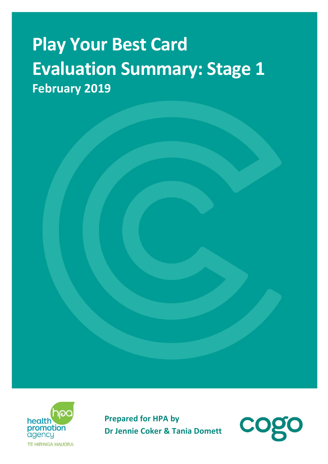# **Play Your Best Card Evaluation Summary: Stage 1 February 2019**



**Prepared for HPA by Dr Jennie Coker & Tania Domett**

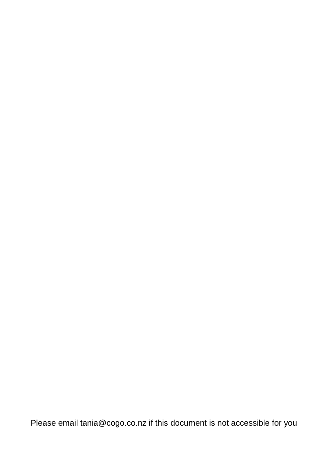Please email tania@cogo.co.nz if this document is not accessible for you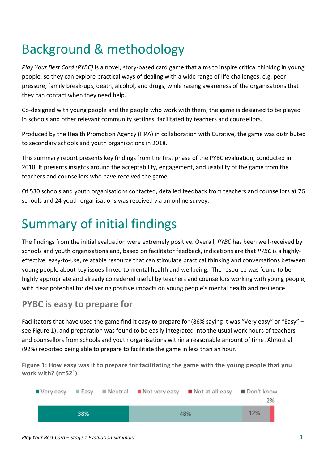## Background & methodology

*Play Your Best Card (PYBC)* is a novel, story-based card game that aims to inspire critical thinking in young people, so they can explore practical ways of dealing with a wide range of life challenges, e.g. peer pressure, family break-ups, death, alcohol, and drugs, while raising awareness of the organisations that they can contact when they need help.

Co-designed with young people and the people who work with them, the game is designed to be played in schools and other relevant community settings, facilitated by teachers and counsellors.

Produced by the Health Promotion Agency (HPA) in collaboration with Curative, the game was distributed to secondary schools and youth organisations in 2018.

This summary report presents key findings from the first phase of the PYBC evaluation, conducted in 2018. It presents insights around the acceptability, engagement, and usability of the game from the teachers and counsellors who have received the game.

Of 530 schools and youth organisations contacted, detailed feedback from teachers and counsellors at 76 schools and 24 youth organisations was received via an online survey.

### Summary of initial findings

The findings from the initial evaluation were extremely positive. Overall, *PYBC* has been well-received by schools and youth organisations and, based on facilitator feedback, indications are that *PYBC* is a highlyeffective, easy-to-use, relatable resource that can stimulate practical thinking and conversations between young people about key issues linked to mental health and wellbeing. The resource was found to be highly appropriate and already considered useful by teachers and counsellors working with young people, with clear potential for delivering positive impacts on young people's mental health and resilience.

#### **PYBC is easy to prepare for**

Facilitators that have used the game find it easy to prepare for (86% saying it was "Very easy" or "Easy" – see Figure 1), and preparation was found to be easily integrated into the usual work hours of teachers and counsellors from schools and youth organisations within a reasonable amount of time. Almost all (92%) reported being able to prepare to facilitate the game in less than an hour.

**Figure 1: How easy was it to prepare for facilitating the game with the young people that you work with? (n=52**<sup>1</sup> **)**

|     |  |     |  | ■ Veryeasy ■ Easy ■ Neutral ■ Not veryeasy ■ Not at all easy ■ Don't know |  | 2% |
|-----|--|-----|--|---------------------------------------------------------------------------|--|----|
| 38% |  | 48% |  | 12%                                                                       |  |    |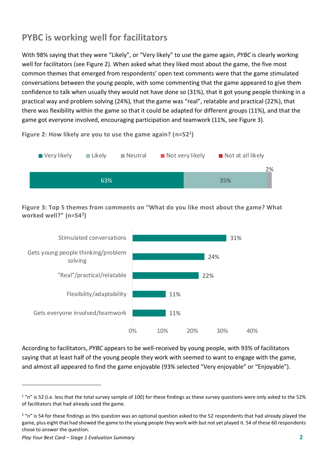#### **PYBC is working well for facilitators**

With 98% saying that they were "Likely", or "Very likely" to use the game again, *PYBC* is clearly working well for facilitators (see Figure 2). When asked what they liked most about the game, the five most common themes that emerged from respondents' open text comments were that the game stimulated conversations between the young people, with some commenting that the game appeared to give them confidence to talk when usually they would not have done so (31%), that it got young people thinking in a practical way and problem solving (24%), that the game was "real", relatable and practical (22%), that there was flexibility within the game so that it could be adapted for different groups (11%), and that the game got everyone involved, encouraging participation and teamwork (11%, see Figure 3).

**Figure 2: How likely are you to use the game again? (n=52<sup>1</sup> )**



**Figure 3: Top 5 themes from comments on "What do you like most about the game? What worked well?" (n=54<sup>2</sup> )**



According to facilitators, *PYBC* appears to be well-received by young people, with 93% of facilitators saying that at least half of the young people they work with seemed to want to engage with the game, and almost all appeared to find the game enjoyable (93% selected "Very enjoyable" or "Enjoyable").

-

 $1$  "n" is 52 (i.e. less that the total survey sample of 100) for these findings as these survey questions were only asked to the 52% of facilitators that had already used the game.

 $2\degree$  "n" is 54 for these findings as this question was an optional question asked to the 52 respondents that had already played the game, plus eight that had showed the game to the young people they work with but not yet played it. 54 of these 60 respondents chose to answer the question.